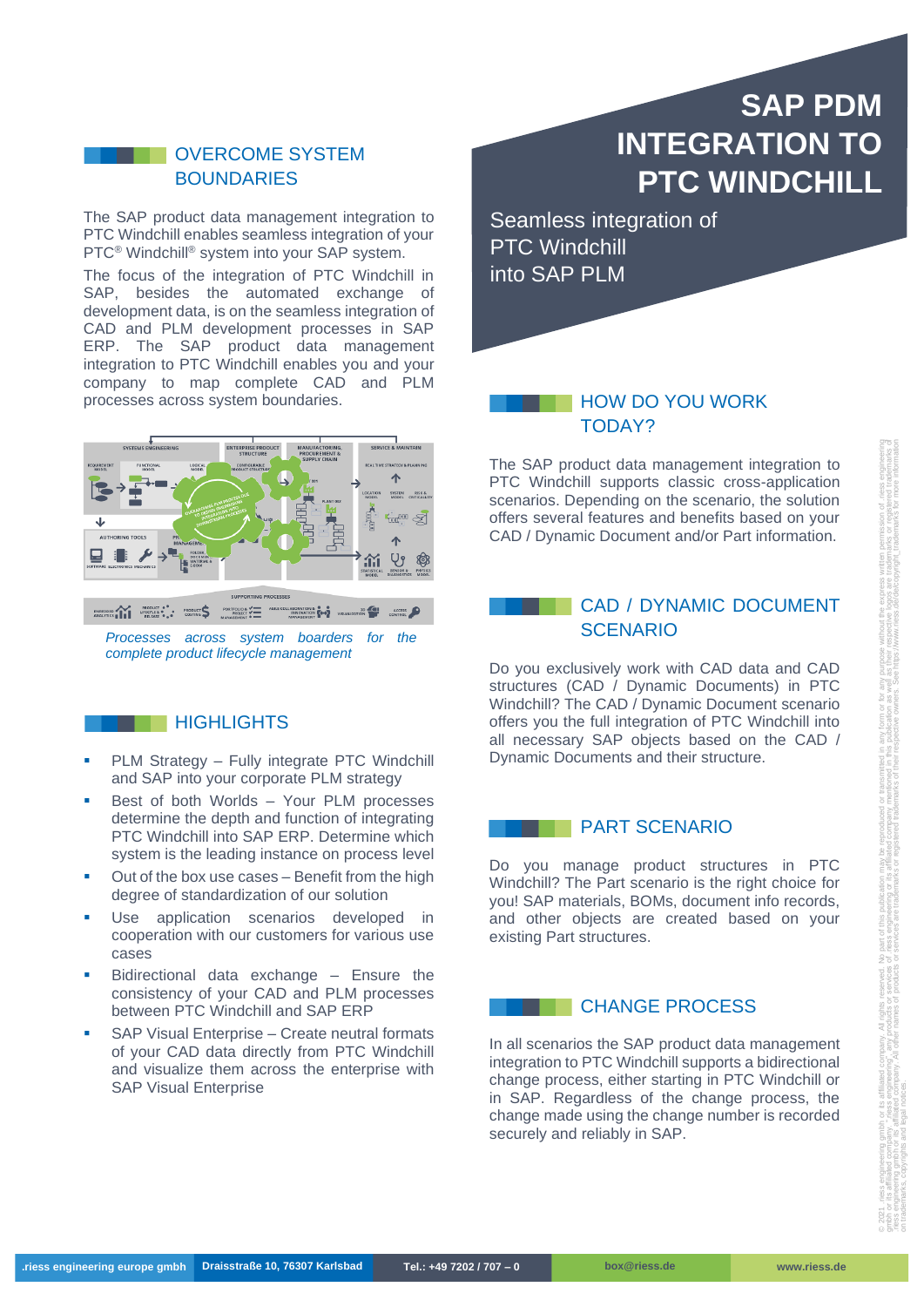## OVERCOME SYSTEM BOUNDARIES

The SAP product data management integration to PTC Windchill enables seamless integration of your PTC<sup>®</sup> Windchill<sup>®</sup> system into your SAP system.

The focus of the integration of PTC Windchill in SAP, besides the automated exchange of development data, is on the seamless integration of CAD and PLM development processes in SAP ERP. The SAP product data management integration to PTC Windchill enables you and your company to map complete CAD and PLM processes across system boundaries.



*Processes across system boarders for the complete product lifecycle management*

# **HIGHLIGHTS**

- PLM Strategy Fully integrate PTC Windchill and SAP into your corporate PLM strategy
- Best of both Worlds Your PLM processes determine the depth and function of integrating PTC Windchill into SAP ERP. Determine which system is the leading instance on process level
- Out of the box use cases Benefit from the high degree of standardization of our solution
- Use application scenarios developed in cooperation with our customers for various use cases
- Bidirectional data exchange Ensure the consistency of your CAD and PLM processes between PTC Windchill and SAP ERP
- **SAP Visual Enterprise Create neutral formats** of your CAD data directly from PTC Windchill and visualize them across the enterprise with SAP Visual Enterprise

# **SAP PDM INTEGRATION TO PTC WINDCHILL**

Seamless integration of PTC Windchill into SAP PLM

# **HOW DO YOU WORK** TODAY?

The SAP product data management integration to PTC Windchill supports classic cross-application scenarios. Depending on the scenario, the solution offers several features and benefits based on your CAD / Dynamic Document and/or Part information.

# CAD / DYNAMIC DOCUMENT **SCENARIO**

Do you exclusively work with CAD data and CAD structures (CAD / Dynamic Documents) in PTC Windchill? The CAD / Dynamic Document scenario offers you the full integration of PTC Windchill into all necessary SAP objects based on the CAD / Dynamic Documents and their structure.

#### PART SCENARIO

Do you manage product structures in PTC Windchill? The Part scenario is the right choice for you! SAP materials, BOMs, document info records, and other objects are created based on your existing Part structures.

#### **CHANGE PROCESS**

In all scenarios the SAP product data management integration to PTC Windchill supports a bidirectional change process, either starting in PTC Windchill or in SAP. Regardless of the change process, the change made using the change number is recorded securely and reliably in SAP.